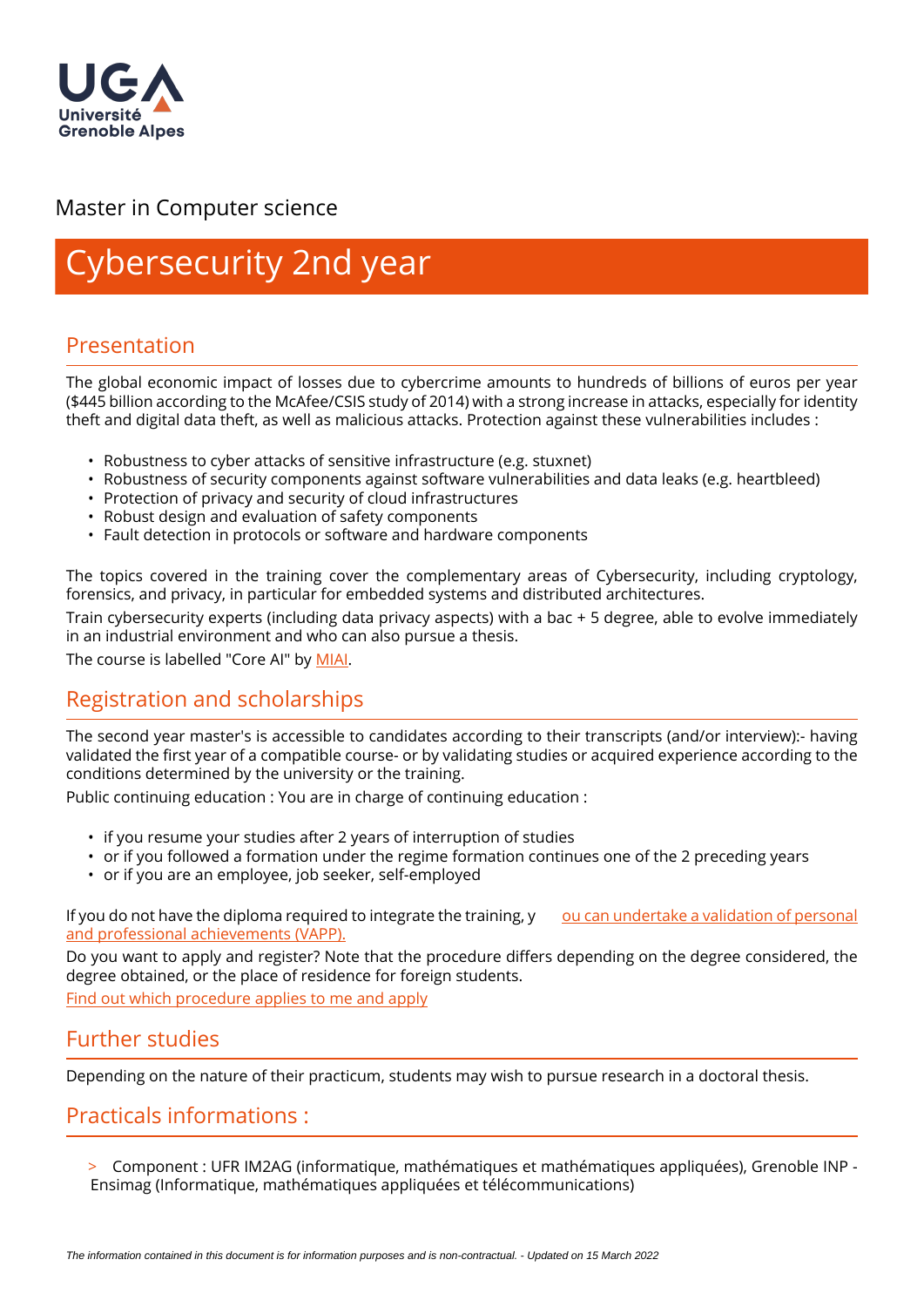

# Master in Computer science

# ybersecurity 2nd year

# Presentation

The global economic impact of losses due to cybercrime amounts to hundreds of billions of euros per year (\$445 billion according to the McAfee/CSIS study of 2014) with a strong increase in attacks, especially for identity theft and digital data theft, as well as malicious attacks. Protection against these vulnerabilities includes :

- Robustness to cyber attacks of sensitive infrastructure (e.g. stuxnet)
- Robustness of security components against software vulnerabilities and data leaks (e.g. heartbleed)
- Protection of privacy and security of cloud infrastructures
- Robust design and evaluation of safety components
- Fault detection in protocols or software and hardware components

The topics covered in the training cover the complementary areas of Cybersecurity, including cryptology, forensics, and privacy, in particular for embedded systems and distributed architectures.

Train cybersecurity experts (including data privacy aspects) with a bac + 5 degree, able to evolve immediately in an industrial environment and who can also pursue a thesis.

The course is labelled "Core AI" by [MIAI](https://miai.univ-grenoble-alpes.fr/education/ai-certifications-in-grenoble/core-ai/).

# Registration and scholarships

The second year master's is accessible to candidates according to their transcripts (and/or interview):- having validated the first year of a compatible course- or by validating studies or acquired experience according to the conditions determined by the university or the training.

Public continuing education : You are in charge of continuing education :

- if you resume your studies after 2 years of interruption of studies
- or if you followed a formation under the regime formation continues one of the 2 preceding years
- or if you are an employee, job seeker, self-employed

If you do not have the diploma required to integrate the training, y ou can undertake a validation of personal [and professional achievements \(VAPP\).](https://www.univ-grenoble-alpes.fr/construire-son-parcours/valider-ses-acquis/validation-des-acquis-personnels-et-professionnels-vapp-/)

Do you want to apply and register? Note that the procedure differs depending on the degree considered, the degree obtained, or the place of residence for foreign students.

[Find out which procedure applies to me and apply](https://im2ag.univ-grenoble-alpes.fr/menu-principal/formation/candidatures/)

### Further studies

Depending on the nature of their practicum, students may wish to pursue research in a doctoral thesis.

# Practicals informations :

> Component : UFR IM2AG (informatique, mathématiques et mathématiques appliquées), Grenoble INP - Ensimag (Informatique, mathématiques appliquées et télécommunications)